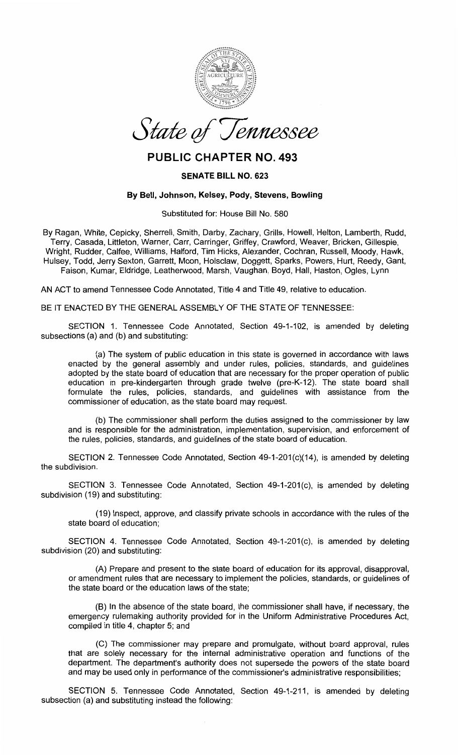

State of *Jennessee* 

## **PUBLIC CHAPTER NO. 493**

## **SENATE BILL NO. 623**

## **By Bell, Johnson, Kelsey, Pody, Stevens, Bowling**

Substituted for: House Bill No. 580

By Ragan, White, Cepicky, Sherrell, Smith, Darby, Zachary, Grills, Howell, Helton, Lamberth, Rudd, Terry, Casada, Littleton, Warner, Carr, Garringer, Griffey, Crawford, Weaver, Bricken, Gillespie, Wright, Rudder, Calfee, Williams, Halford, Tim Hicks, Alexander, Cochran, Russell, Moody, Hawk, Hulsey, Todd, Jerry Sexton, Garrett, Moon, Holsclaw, Doggett, Sparks, Powers, Hurt, Reedy, Gant, Faison, Kumar, Eldridge, Leatherwood, Marsh, Vaughan, Boyd, Hall, Haston, Ogles, Lynn

AN ACT to amend Tennessee Code Annotated, Title 4 and Title 49, relative to education.

BE IT ENACTED BY THE GENERAL ASSEMBLY OF THE STATE OF TENNESSEE:

SECTION 1. Tennessee Code Annotated, Section 49-1-102, is amended by deleting subsections (a) and (b) and substituting:

(a) The system of public education in this state is governed in accordance with laws enacted by the general assembly and under rules, policies, standards, and guidelines adopted by the state board of education that are necessary for the proper operation of public education in pre-kindergarten through grade twelve (pre-K-12). The state board shall formulate the rules, policies, standards, and guidelines with assistance from the commissioner of education, as the state board may request.

(b) The commissioner shall perform the duties assigned to the commissioner by law and is responsible for the administration, implementation, supervision, and enforcement of the rules, policies, standards, and guidelines of the state board of education.

SECTION 2. Tennessee Code Annotated, Section 49-1-201(c)(14), is amended by deleting the subdivision.

SECTION 3. Tennessee Code Annotated, Section 49-1-201(c), is amended by deleting subdivision (19) and substituting:

(19) Inspect, approve, and classify private schools in accordance with the rules of the state board of education;

SECTION 4. Tennessee Code Annotated, Section 49-1-201(c), is amended by deleting subdivision (20) and substituting:

(A) Prepare and present to the state board of education for its approval, disapproval, or amendment rules that are necessary to implement the policies, standards, or guidelines of the state board or the education laws of the state;

(B) In the absence of the state board, the commissioner shall have, if necessary, the emergency rulemaking authority provided for in the Uniform Administrative Procedures Act, compiled in title 4, chapter 5; and

(C) The commissioner may prepare and promulgate, without board approval, rules that are solely necessary for the internal administrative operation and functions of the department. The department's authority does not supersede the powers of the state board and may be used only in performance of the commissioner's administrative responsibilities;

SECTION 5. Tennessee Code Annotated, Section 49-1-211, is amended by deleting subsection (a) and substituting instead the following: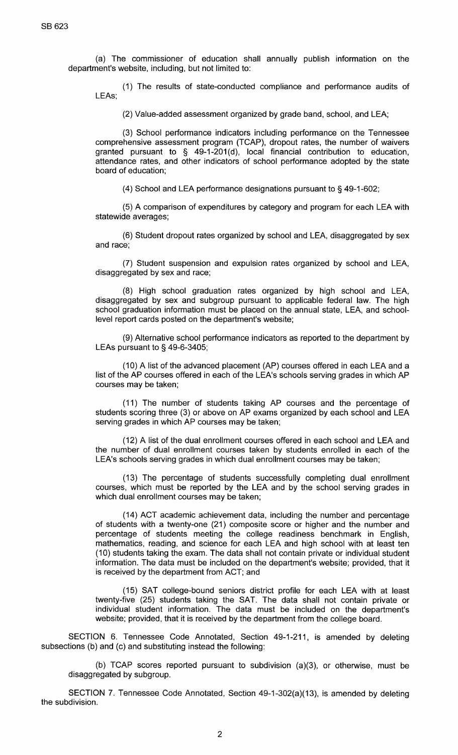(a) The commissioner of education shall annually publish information on the department's website, including, but not limited to:

(1) The results of state-conducted compliance and performance audits of LEAs;

(2) Value-added assessment organized by grade band, school, and LEA;

(3) School performance indicators including performance on the Tennessee comprehensive assessment program (TCAP), dropout rates, the number of waivers granted pursuant to § 49-1-201(d), local financial contribution to education, attendance rates, and other indicators of school performance adopted by the state board of education;

(4) School and LEA performance designations pursuant to§ 49-1-602;

(5) A comparison of expenditures by category and program for each LEA with statewide averages;

(6) Student dropout rates organized by school and LEA, disaggregated by sex and race;

(7) Student suspension and expulsion rates organized by school and LEA, disaggregated by sex and race;

(8) High school graduation rates organized by high school and LEA, disaggregated by sex and subgroup pursuant to applicable federal law. The high school graduation information must be placed on the annual state, LEA, and schoollevel report cards posted on the department's website;

(9) Alternative school performance indicators as reported to the department by LEAs pursuant to § 49-6-3405;

(10) A list of the advanced placement (AP) courses offered in each LEA and a list of the AP courses offered in each of the LEA's schools serving grades in which AP courses may be taken;

(11) The number of students taking AP courses and the percentage of students scoring three (3) or above on AP exams organized by each school and LEA serving grades in which AP courses may be taken;

(12) A list of the dual enrollment courses offered in each school and LEA and the number of dual enrollment courses taken by students enrolled in each of the LEA's schools serving grades in which dual enrollment courses may be taken;

(13) The percentage of students successfully completing dual enrollment courses, which must be reported by the LEA and by the school serving grades in which dual enrollment courses may be taken;

(14) ACT academic achievement data, including the number and percentage of students with a twenty-one (21) composite score or higher and the number and percentage of students meeting the college readiness benchmark in English, mathematics, reading, and science for each LEA and high school with at least ten ( 10) students taking the exam. The data shall not contain private or individual student information. The data must be included on the department's website; provided, that it is received by the department from ACT; and

(15) SAT college-bound seniors district profile for each LEA with at least twenty-five (25) students taking the SAT. The data shall not contain private or individual student information. The data must be included on the department's website; provided, that it is received by the department from the college board.

SECTION 6. Tennessee Code Annotated, Section 49-1-211, is amended by deleting subsections (b) and (c) and substituting instead the following:

(b) TCAP scores reported pursuant to subdivision (a)(3), or otherwise, must be disaggregated by subgroup.

SECTION 7. Tennessee Code Annotated, Section 49-1-302(a)(13), is amended by deleting the subdivision.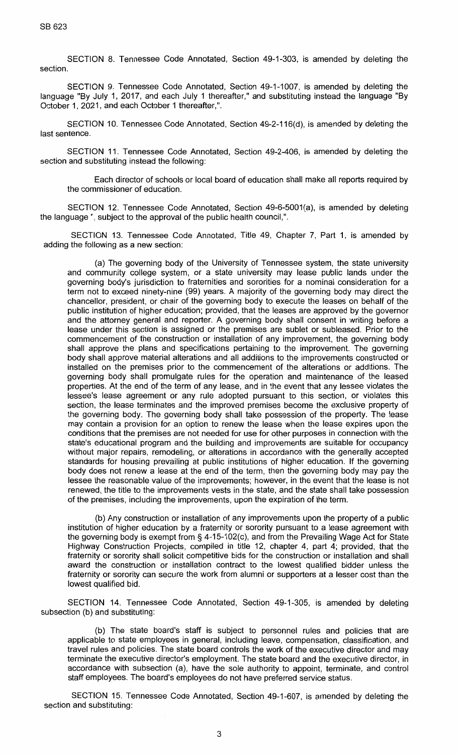SECTION 8. Tennessee Code Annotated, Section 49-1-303, is amended by deleting the section.

SECTION 9. Tennessee Code Annotated, Section 49-1-1007, is amended by deleting the language "By July 1, 2017, and each July 1 thereafter," and substituting instead the language "By October 1, 2021, and each October 1 thereafter,".

SECTION 10. Tennessee Code Annotated, Section 49-2-116(d), is amended by deleting the last sentence.

SECTION 11. Tennessee Code Annotated, Section 49-2-406, is amended by deleting the section and substituting instead the following:

Each director of schools or local board of education shall make all reports required by the commissioner of education.

SECTION 12. Tennessee Code Annotated, Section 49-6-5001(a), is amended by deleting the language", subject to the approval of the public health council,".

SECTION 13. Tennessee Code Annotated, Title 49, Chapter 7, Part 1, is amended by adding the following as a new section:

(a) The governing body of the University of Tennessee system, the state university and community college system, or a state university may lease public lands under the governing body's jurisdiction to fraternities and sororities for a nominal consideration for a term not to exceed ninety-nine (99) years. A majority of the governing body may direct the chancellor, president, or chair of the governing body to execute the leases on behalf of the public institution of higher education; provided, that the leases are approved by the governor and the attorney general and reporter. A governing body shall consent in writing before a lease under this section is assigned or the premises are sublet or subleased. Prior to the commencement of the construction or installation of any improvement, the governing body shall approve the plans and specifications pertaining to the improvement. The governing body shall approve material alterations and all additions to the improvements constructed or installed on the premises prior to the commencement of the alterations or additions. The governing body shall promulgate rules for the operation and maintenance of the leased properties. At the end of the term of any lease, and in the event that any lessee violates the lessee's lease agreement or any rule adopted pursuant to this section, or violates this section, the lease terminates and the improved premises become the exclusive property of the governing body. The governing body shall take possession of the property. The lease may contain a provision for an option to renew the lease when the lease expires upon the conditions that the premises are not needed for use for other purposes in connection with the state's educational program and the building and improvements are suitable for occupancy without major repairs, remodeling, or alterations in accordance with the generally accepted standards for housing prevailing at public institutions of higher education. If the governing body does not renew a lease at the end of the term, then the governing body may pay the lessee the reasonable value of the improvements; however, in the event that the lease is not renewed, the title to the improvements vests in the state, and the state shall take possession of the premises, including the improvements, upon the expiration of the term.

(b) Any construction or installation of any improvements upon the property of a public institution of higher education by a fraternity or sorority pursuant to a lease agreement with the governing body is exempt from§ 4-15-102(c), and from the Prevailing Wage Act for State Highway Construction Projects, compiled in title 12, chapter 4, part 4; provided, that the fraternity or sorority shall solicit competitive bids for the construction or installation and shall award the construction or installation contract to the lowest qualified bidder unless the fraternity or sorority can secure the work from alumni or supporters at a lesser cost than the lowest qualified bid.

SECTION 14. Tennessee Code Annotated, Section 49-1-305, is amended by deleting subsection (b) and substituting:

(b) The state board's staff is subject to personnel rules and policies that are applicable to state employees in general, including leave, compensation, classification, and travel rules and policies. The state board controls the work of the executive director and may terminate the executive director's employment. The state board and the executive director, in accordance with subsection (a), have the sole authority to appoint, terminate, and control staff employees. The board's employees do not have preferred service status.

SECTION 15. Tennessee Code Annotated, Section 49-1-607, is amended by deleting the section and substituting: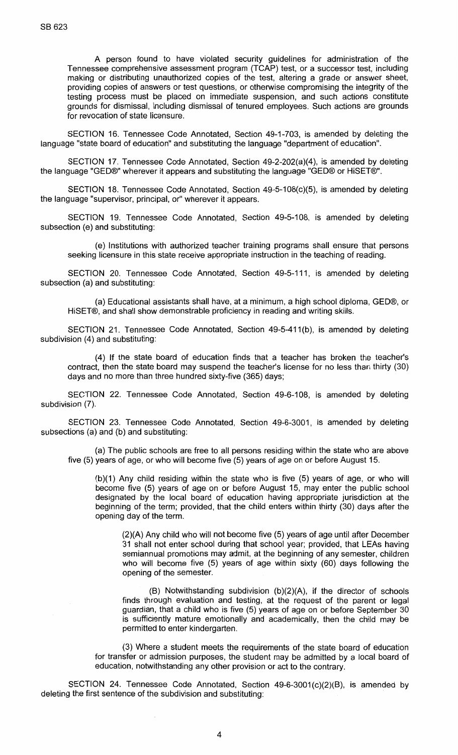A person found to have violated security guidelines for administration of the Tennessee comprehensive assessment program (TCAP) test, or a successor test, including making or distributing unauthorized copies of the test, altering a grade or answer sheet, providing copies of answers or test questions, or otherwise compromising the integrity of the testing process must be placed on immediate suspension, and such actions constitute grounds for dismissal, including dismissal of tenured employees. Such actions are grounds for revocation of state licensure.

SECTION 16. Tennessee Code Annotated, Section 49-1-703, is amended by deleting the language "state board of education" and substituting the language "department of education".

SECTION 17. Tennessee Code Annotated, Section 49-2-202(a)(4), is amended by deleting the language "GED®" wherever it appears and substituting the language "GED® or HiSET®".

SECTION 18. Tennessee Code Annotated, Section 49-5-108(c)(5), is amended by deleting the language "supervisor, principal, or" wherever it appears.

SECTION 19. Tennessee Code Annotated, Section 49-5-108, is amended by deleting subsection (e) and substituting:

(e) Institutions with authorized teacher training programs shall ensure that persons seeking licensure in this state receive appropriate instruction in the teaching of reading.

SECTION 20. Tennessee Code Annotated, Section 49-5-111, is amended by deleting subsection (a) and substituting:

(a) Educational assistants shall have, at a minimum, a high school diploma, GED®, or HiSET®, and shall show demonstrable proficiency in reading and writing skills.

SECTION 21. Tennessee Code Annotated, Section 49-5-411(b), is amended by deleting subdivision (4) and substituting:

(4) If the state board of education finds that a teacher has broken the teacher's contract, then the state board may suspend the teacher's license for no less than thirty (30) days and no more than three hundred sixty-five (365) days;

SECTION 22. Tennessee Code Annotated, Section 49-6-108, is amended by deleting subdivision (7).

SECTION 23. Tennessee Code Annotated, Section 49-6-3001, is amended by deleting subsections (a) and (b) and substituting:

(a) The public schools are free to all persons residing within the state who are above five (5) years of age, or who will become five (5) years of age on or before August 15.

(b)(1) Any child residing within the state who is five (5) years of age, or who will become five (5) years of age on or before August 15, may enter the public school designated by the local board of education having appropriate jurisdiction at the beginning of the term; provided, that the child enters within thirty (30) days after the opening day of the term.

(2)(A) Any child who will not become five (5) years of age until after December 31 shall not enter school during that school year; provided, that LEAs having semiannual promotions may admit, at the beginning of any semester, children who will become five (5) years of age within sixty (60) days following the opening of the semester.

(B) Notwithstanding subdivision (b)(2)(A), if the director of schools finds through evaluation and testing, at the request of the parent or legal guardian, that a child who is five (5) years of age on or before September 30 is sufficiently mature emotionally and academically, then the child may be permitted to enter kindergarten.

(3) Where a student meets the requirements of the state board of education for transfer or admission purposes, the student may be admitted by a local board of education, notwithstanding any other provision or act to the contrary.

SECTION 24. Tennessee Code Annotated, Section 49-6-3001(c)(2)(B), is amended by deleting the first sentence of the subdivision and substituting: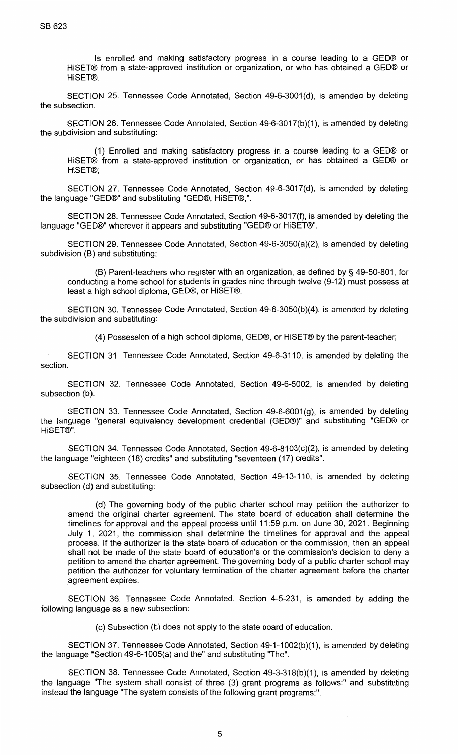Is enrolled and making satisfactory progress in a course leading to a GED® or HiSET® from a state-approved institution or organization, or who has obtained a GED® or HiSET®.

SECTION 25. Tennessee Code Annotated, Section 49-6-3001(d), is amended by deleting the subsection.

SECTION 26. Tennessee Code Annotated, Section 49-6-3017(b)(1), is amended by deleting the subdivision and substituting:

(1) Enrolled and making satisfactory progress in a course leading to a GED® or HiSET® from a state-approved institution or organization, or has obtained a GED® or HiSET®;

SECTION 27. Tennessee Code Annotated, Section 49-6-3017(d), is amended by deleting the language "GED®" and substituting "GED®, HiSET®,".

SECTION 28. Tennessee Code Annotated, Section 49-6-3017(f), is amended by deleting the language "GED®" wherever it appears and substituting "GED® or HiSET®".

SECTION 29. Tennessee Code Annotated, Section 49-6-3050(a)(2), is amended by deleting subdivision (B) and substituting:

(B) Parent-teachers who register with an organization, as defined by§ 49-50-801, for conducting a home school for students in grades nine through twelve (9-12) must possess at least a high school diploma, GED®, or HiSET®.

SECTION 30. Tennessee Code Annotated, Section 49-6-3050(b)(4), is amended by deleting the subdivision and substituting:

(4) Possession of a high school diploma, GED®, or HiSET® by the parent-teacher;

SECTION 31. Tennessee Code Annotated, Section 49-6-3110, is amended by deleting the section.

SECTION 32. Tennessee Code Annotated, Section 49-6-5002, is amended by deleting subsection (b).

SECTION 33. Tennessee Code Annotated, Section 49-6-6001(g), is amended by deleting the language "general equivalency development credential (GED®)" and substituting "GED® or HiSET®".

SECTION 34. Tennessee Code Annotated, Section 49-6-8103(c)(2), is amended by deleting the language "eighteen (18) credits" and substituting "seventeen (17) credits".

SECTION 35. Tennessee Code Annotated, Section 49-13-110, is amended by deleting subsection (d) and substituting:

(d) The governing body of the public charter school may petition the authorizer to amend the original charter agreement. The state board of education shall determine the timelines for approval and the appeal process until 11 :59 p.m. on June 30, 2021. Beginning July 1, 2021, the commission shall determine the timelines for approval and the appeal process. If the authorizer is the state board of education or the commission, then an appeal shall not be made of the state board of education's or the commission's decision to deny a petition to amend the charter agreement. The governing body of a public charter school may petition the authorizer for voluntary termination of the charter agreement before the charter agreement expires.

SECTION 36. Tennessee Code Annotated, Section 4-5-231, is amended by adding the following language as a new subsection:

(c) Subsection (b) does not apply to the state board of education.

SECTION 37. Tennessee Code Annotated, Section 49-1-1002(b)(1), is amended by deleting the language "Section 49-6-1005(a) and the" and substituting "The".

SECTION 38. Tennessee Code Annotated, Section 49-3-318(b)(1), is amended by deleting the language "The system shall consist of three (3) grant programs as follows:" and substituting instead the language "The system consists of the following grant programs:".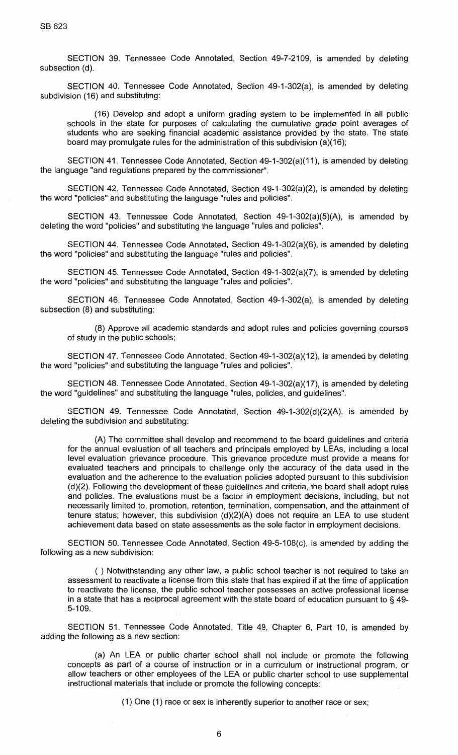SECTION 39. Tennessee Code Annotated, Section 49-7-2109, is amended by deleting subsection (d).

SECTION 40. Tennessee Code Annotated, Section 49-1-302(a), is amended by deleting subdivision (16) and substituting:

(16) Develop and adopt a uniform grading system to be implemented in all public schools in the state for purposes of calculating the cumulative grade point averages of students who are seeking financial academic assistance provided by the state. The state board may promulgate rules for the administration of this subdivision (a)(16);

SECTION 41. Tennessee Code Annotated, Section 49-1-302(a)(11 ), is amended by deleting the language "and regulations prepared by the commissioner".

SECTION 42. Tennessee Code Annotated, Section 49-1-302(a)(2), is amended by deleting the word "policies" and substituting the language "rules and policies".

SECTION 43. Tennessee Code Annotated, Section 49-1-302(a)(5)(A), is amended by deleting the word "policies" and substituting the language "rules and policies".

SECTION 44. Tennessee Code Annotated, Section 49-1-302(a)(6), is amended by deleting the word "policies" and substituting the language "rules and policies".

SECTION 45. Tennessee Code Annotated, Section 49-1-302(a)(7), is amended by deleting the word "policies" and substituting the language "rules and policies".

SECTION 46. Tennessee Code Annotated, Section 49-1-302(a), is amended by deleting subsection (8) and substituting:

(8) Approve all academic standards and adopt rules and policies governing courses of study in the public schools;

SECTION 47. Tennessee Code Annotated, Section 49-1-302(a)(12), is amended by deleting the word "policies" and substituting the language "rules and policies".

SECTION 48. Tennessee Code Annotated, Section 49-1-302(a)(17), is amended by deleting the word "guidelines" and substituting the language "rules, policies, and guidelines".

SECTION 49. Tennessee Code Annotated, Section 49-1-302(d)(2)(A), is amended by deleting the subdivision and substituting:

(A) The committee shall develop and recommend to the board guidelines and criteria for the annual evaluation of all teachers and principals employed by LEAs, including a local level evaluation grievance procedure. This grievance procedure must provide a means for evaluated teachers and principals to challenge only the accuracy of the data used in the evaluation and the adherence to the evaluation policies adopted pursuant to this subdivision (d)(2). Following the development of these guidelines and criteria, the board shall adopt rules and policies. The evaluations must be a factor in employment decisions, including, but not necessarily limited to, promotion, retention, termination, compensation, and the attainment of tenure status; however, this subdivision (d)(2)(A) does not require an LEA to use student achievement data based on state assessments as the sole factor in employment decisions.

SECTION 50. Tennessee Code Annotated, Section 49-5-108(c), is amended by adding the following as a new subdivision:

( ) Notwithstanding any other law, a public school teacher is not required to take an assessment to reactivate a license from this state that has expired if at the time of application to reactivate the license, the public school teacher possesses an active professional license in a state that has a reciprocal agreement with the state board of education pursuant to § 49- 5-109.

SECTION 51. Tennessee Code Annotated, Title 49, Chapter 6, Part 10, is amended by adding the following as a new section:

(a) An LEA or public charter school shall not include or promote the following concepts as part of a course of instruction or in a curriculum or instructional program, or allow teachers or other employees of the LEA or public charter school to use supplemental instructional materials that include or promote the following concepts:

(1) One (1) race or sex is inherently superior to another race or sex;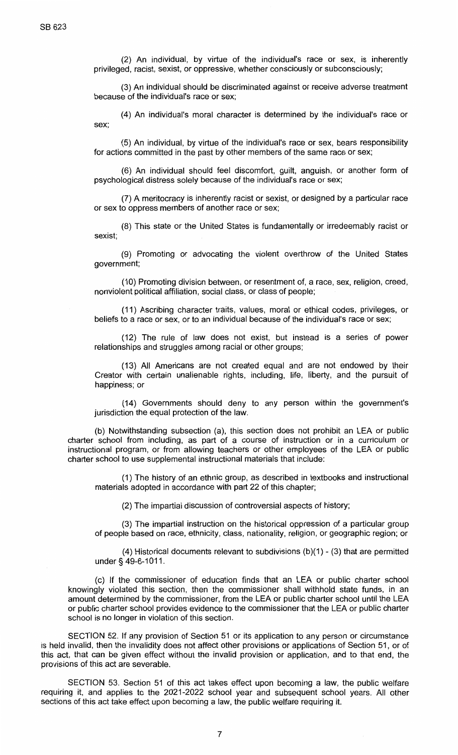(2) An individual, by virtue of the individual's race or sex, is inherently privileged, racist, sexist, or oppressive, whether consciously or subconsciously;

(3) An individual should be discriminated against or receive adverse treatment because of the individual's race or sex;

(4) An individual's moral character is determined by the individual's race or sex;

(5) An individual, by virtue of the individual's race or sex, bears responsibility for actions committed in the past by other members of the same race or sex;

(6) An individual should feel discomfort, guilt, anguish, or another form of psychological distress solely because of the individual's race or sex;

(7) A meritocracy is inherently racist or sexist, or designed by a particular race or sex to oppress members of another race or sex;

(8) This state or the United States is fundamentally or irredeemably racist or sexist;

(9) Promoting or advocating the violent overthrow of the United States government;

(10) Promoting division between, or resentment of, a race, sex, religion, creed, nonviolent political affiliation, social class, or class of people;

(11) Ascribing character traits, values, moral or ethical codes, privileges, or beliefs to a race or sex, or to an individual because of the individual's race or sex;

(12) The rule of law does not exist, but instead is a series of power relationships and struggles among racial or other groups;

(13) All Americans are not created equal and are not endowed by their Creator with certain unalienable rights, including, life, liberty, and the pursuit of happiness; or

(14) Governments should deny to any person within the government's jurisdiction the equal protection of the law.

(b) Notwithstanding subsection (a), this section does not prohibit an LEA or public charter school from including, as part of a course of instruction or in a curriculum or instructional program, or from allowing teachers or other employees of the LEA or public charter school to use supplemental instructional materials that include:

(1) The history of an ethnic group, as described in textbooks and instructional materials adopted in accordance with part 22 of this chapter;

(2) The impartial discussion of controversial aspects of history;

(3) The impartial instruction on the historical oppression of a particular group of people based on race, ethnicity, class, nationality, religion, or geographic region; or

(4) Historical documents relevant to subdivisions (b)(1) - (3) that are permitted under § 49-6-1011.

(c) If the commissioner of education finds that an LEA or public charter school knowingly violated this section, then the commissioner shall withhold state funds, in an amount determined by the commissioner, from the LEA or public charter school until the LEA or public charter school provides evidence to the commissioner that the LEA or public charter school is no longer in violation of this section.

SECTION 52. If any provision of Section 51 or its application to any person or circumstance is held invalid, then the invalidity does not affect other provisions or applications of Section 51, or of this act, that can be given effect without the invalid provision or application, and to that end, the provisions of this act are severable.

SECTION 53. Section 51 of this act takes effect upon becoming a law, the public welfare requiring it, and applies to the 2021-2022 school year and subsequent school years. All other sections of this act take effect upon becoming a law, the public welfare requiring it.